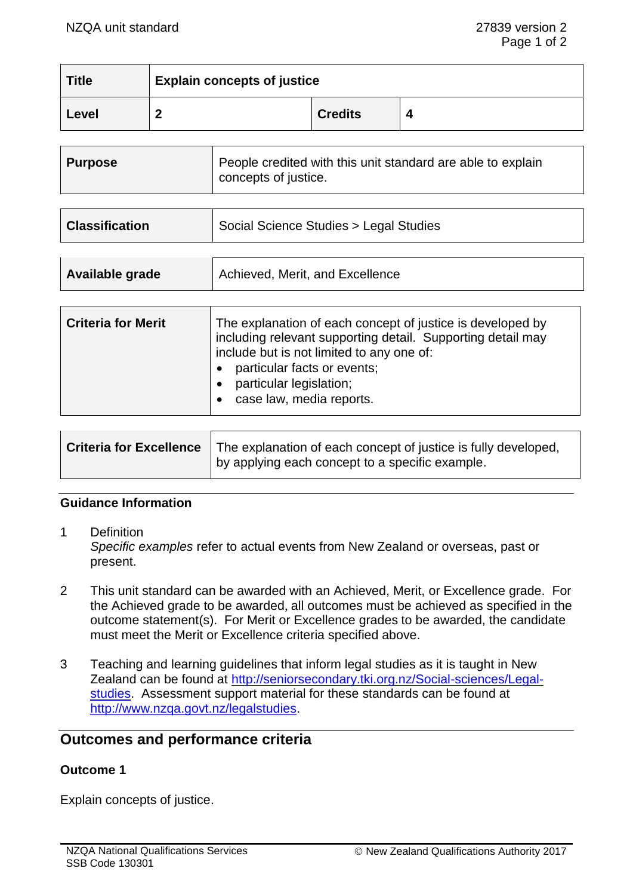| <b>Title</b> | <b>Explain concepts of justice</b> |                |  |
|--------------|------------------------------------|----------------|--|
| Level        |                                    | <b>Credits</b> |  |

| <b>Purpose</b> | People credited with this unit standard are able to explain<br>concepts of justice. |
|----------------|-------------------------------------------------------------------------------------|
|----------------|-------------------------------------------------------------------------------------|

| <b>Classification</b> | Social Science Studies > Legal Studies |
|-----------------------|----------------------------------------|
|                       |                                        |

|--|

| <b>Criteria for Merit</b> | The explanation of each concept of justice is developed by<br>including relevant supporting detail. Supporting detail may<br>include but is not limited to any one of:<br>particular facts or events;<br>particular legislation;<br>case law, media reports. |
|---------------------------|--------------------------------------------------------------------------------------------------------------------------------------------------------------------------------------------------------------------------------------------------------------|
|---------------------------|--------------------------------------------------------------------------------------------------------------------------------------------------------------------------------------------------------------------------------------------------------------|

| Criteria for Excellence | The explanation of each concept of justice is fully developed, |
|-------------------------|----------------------------------------------------------------|
|                         | If by applying each concept to a specific example.             |

## **Guidance Information**

- 1 Definition *Specific examples* refer to actual events from New Zealand or overseas, past or present.
- 2 This unit standard can be awarded with an Achieved, Merit, or Excellence grade. For the Achieved grade to be awarded, all outcomes must be achieved as specified in the outcome statement(s). For Merit or Excellence grades to be awarded, the candidate must meet the Merit or Excellence criteria specified above.
- 3 Teaching and learning guidelines that inform legal studies as it is taught in New Zealand can be found at [http://seniorsecondary.tki.org.nz/Social-sciences/Legal](http://seniorsecondary.tki.org.nz/Social-sciences/Legal-studies)[studies.](http://seniorsecondary.tki.org.nz/Social-sciences/Legal-studies) Assessment support material for these standards can be found at [http://www.nzqa.govt.nz/legalstudies.](http://www.nzqa.govt.nz/legalstudies)

# **Outcomes and performance criteria**

### **Outcome 1**

Explain concepts of justice.